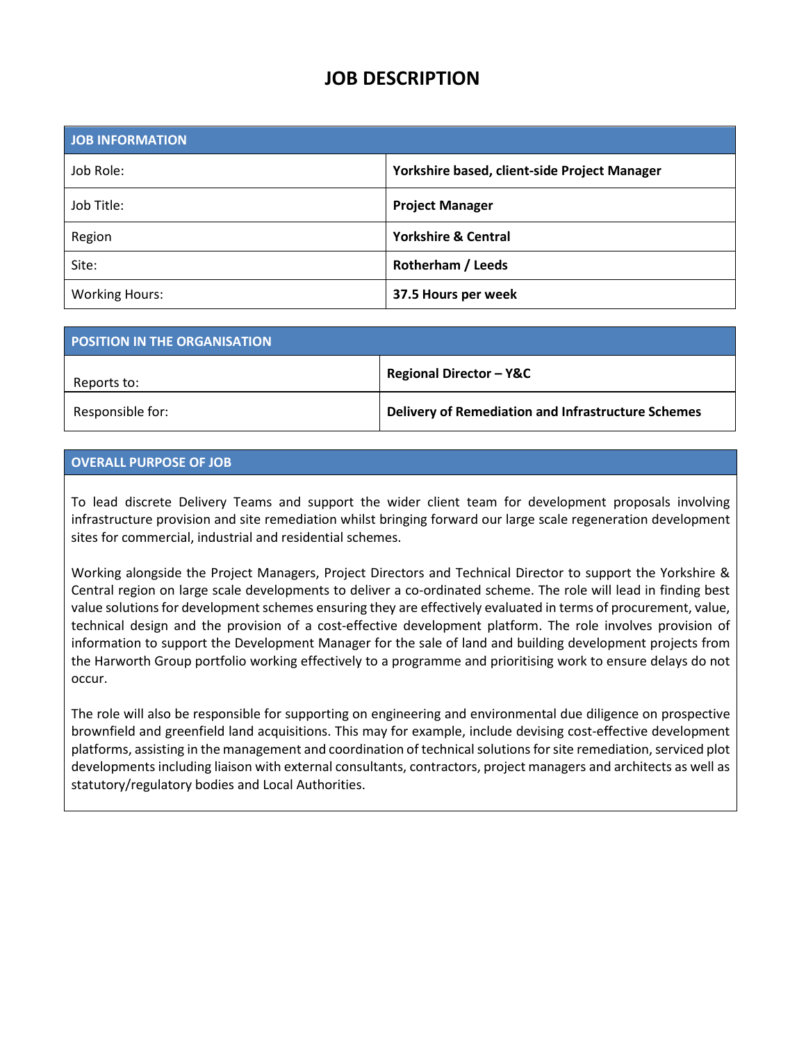# **JOB DESCRIPTION**

| <b>JOB INFORMATION</b> |                                              |
|------------------------|----------------------------------------------|
| Job Role:              | Yorkshire based, client-side Project Manager |
| Job Title:             | <b>Project Manager</b>                       |
| Region                 | <b>Yorkshire &amp; Central</b>               |
| Site:                  | Rotherham / Leeds                            |
| <b>Working Hours:</b>  | 37.5 Hours per week                          |

| POSITION IN THE ORGANISATION |                                                    |
|------------------------------|----------------------------------------------------|
| Reports to:                  | <b>Regional Director - Y&amp;C</b>                 |
| Responsible for:             | Delivery of Remediation and Infrastructure Schemes |

## **OVERALL PURPOSE OF JOB**

To lead discrete Delivery Teams and support the wider client team for development proposals involving infrastructure provision and site remediation whilst bringing forward our large scale regeneration development sites for commercial, industrial and residential schemes.

Working alongside the Project Managers, Project Directors and Technical Director to support the Yorkshire & Central region on large scale developments to deliver a co-ordinated scheme. The role will lead in finding best value solutions for development schemes ensuring they are effectively evaluated in terms of procurement, value, technical design and the provision of a cost-effective development platform. The role involves provision of information to support the Development Manager for the sale of land and building development projects from the Harworth Group portfolio working effectively to a programme and prioritising work to ensure delays do not occur.

The role will also be responsible for supporting on engineering and environmental due diligence on prospective brownfield and greenfield land acquisitions. This may for example, include devising cost-effective development platforms, assisting in the management and coordination of technical solutions for site remediation, serviced plot developments including liaison with external consultants, contractors, project managers and architects as well as statutory/regulatory bodies and Local Authorities.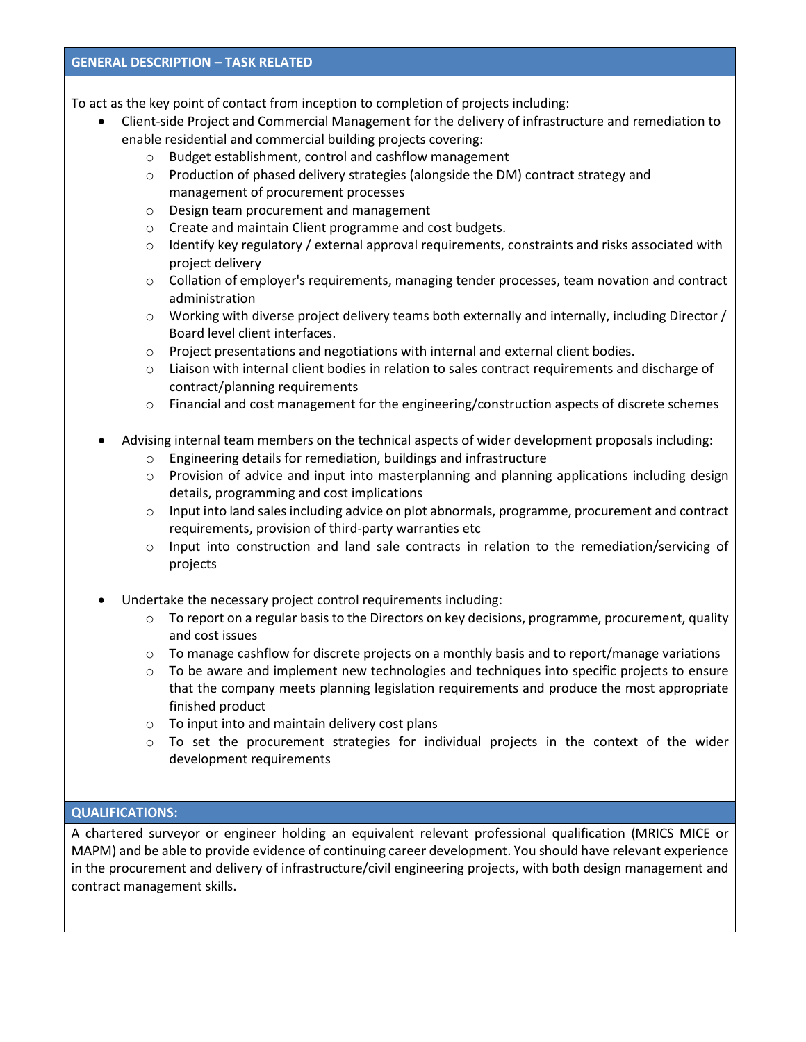#### **GENERAL DESCRIPTION – TASK RELATED**

To act as the key point of contact from inception to completion of projects including:

- Client-side Project and Commercial Management for the delivery of infrastructure and remediation to enable residential and commercial building projects covering:
	- o Budget establishment, control and cashflow management
	- $\circ$  Production of phased delivery strategies (alongside the DM) contract strategy and management of procurement processes
	- o Design team procurement and management
	- o Create and maintain Client programme and cost budgets.
	- $\circ$  Identify key regulatory / external approval requirements, constraints and risks associated with project delivery
	- $\circ$  Collation of employer's requirements, managing tender processes, team novation and contract administration
	- $\circ$  Working with diverse project delivery teams both externally and internally, including Director / Board level client interfaces.
	- o Project presentations and negotiations with internal and external client bodies.
	- o Liaison with internal client bodies in relation to sales contract requirements and discharge of contract/planning requirements
	- $\circ$  Financial and cost management for the engineering/construction aspects of discrete schemes
- Advising internal team members on the technical aspects of wider development proposals including:
	- o Engineering details for remediation, buildings and infrastructure
	- $\circ$  Provision of advice and input into masterplanning and planning applications including design details, programming and cost implications
	- $\circ$  Input into land sales including advice on plot abnormals, programme, procurement and contract requirements, provision of third-party warranties etc
	- o Input into construction and land sale contracts in relation to the remediation/servicing of projects
- Undertake the necessary project control requirements including:
	- $\circ$  To report on a regular basis to the Directors on key decisions, programme, procurement, quality and cost issues
	- $\circ$  To manage cashflow for discrete projects on a monthly basis and to report/manage variations
	- $\circ$  To be aware and implement new technologies and techniques into specific projects to ensure that the company meets planning legislation requirements and produce the most appropriate finished product
	- o To input into and maintain delivery cost plans
	- o To set the procurement strategies for individual projects in the context of the wider development requirements

## **QUALIFICATIONS:**

A chartered surveyor or engineer holding an equivalent relevant professional qualification (MRICS MICE or MAPM) and be able to provide evidence of continuing career development. You should have relevant experience in the procurement and delivery of infrastructure/civil engineering projects, with both design management and contract management skills.